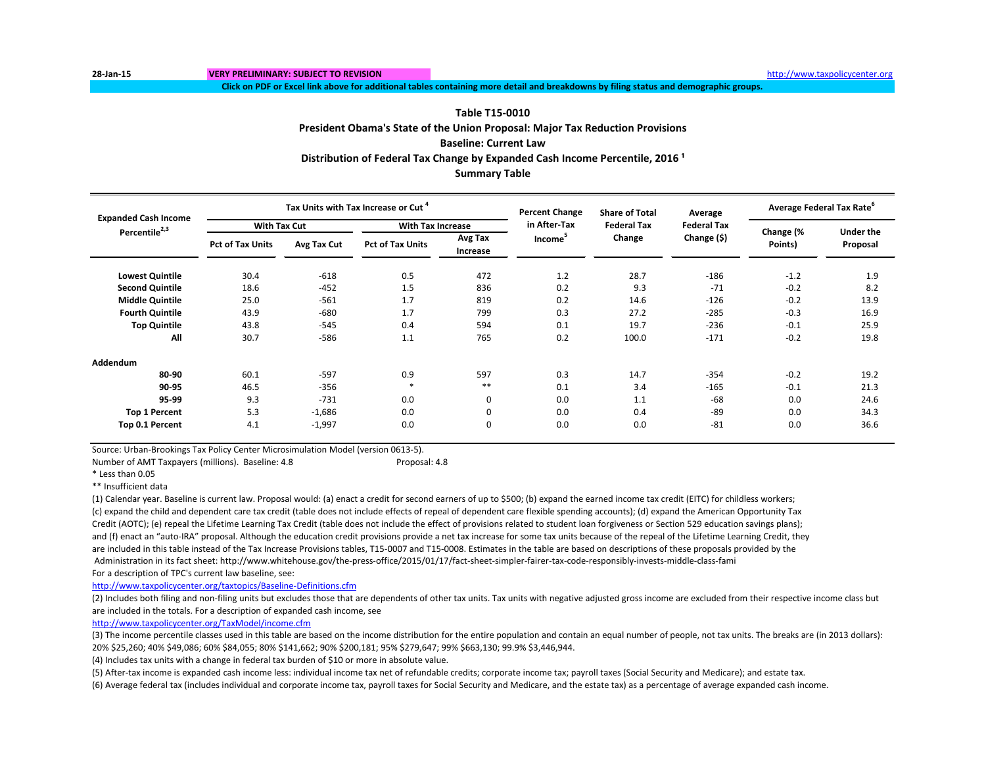**Click on PDF or Excel link above for additional tables containing more detail and breakdowns by filing status and demographic groups.**

### **Table T15-0010**

**President Obama's State of the Union Proposal: Major Tax Reduction Provisions Baseline: Current Law Summary Table Distribution of Federal Tax Change by Expanded Cash Income Percentile, 2016 ¹**

| <b>Expanded Cash Income</b> |                         |             | Tax Units with Tax Increase or Cut <sup>4</sup> |                            | <b>Percent Change</b> | <b>Share of Total</b> | Average            | <b>Average Federal Tax Rate</b> |                              |
|-----------------------------|-------------------------|-------------|-------------------------------------------------|----------------------------|-----------------------|-----------------------|--------------------|---------------------------------|------------------------------|
| Percentile <sup>2,3</sup>   | <b>With Tax Cut</b>     |             | <b>With Tax Increase</b>                        |                            | in After-Tax          | <b>Federal Tax</b>    | <b>Federal Tax</b> |                                 |                              |
|                             | <b>Pct of Tax Units</b> | Avg Tax Cut | <b>Pct of Tax Units</b>                         | Avg Tax<br><b>Increase</b> | Income <sup>5</sup>   | Change                | Change $(5)$       | Change (%<br>Points)            | <b>Under the</b><br>Proposal |
| <b>Lowest Quintile</b>      | 30.4                    | $-618$      | 0.5                                             | 472                        | 1.2                   | 28.7                  | $-186$             | $-1.2$                          | 1.9                          |
| <b>Second Quintile</b>      | 18.6                    | $-452$      | 1.5                                             | 836                        | 0.2                   | 9.3                   | $-71$              | $-0.2$                          | 8.2                          |
| <b>Middle Quintile</b>      | 25.0                    | $-561$      | 1.7                                             | 819                        | 0.2                   | 14.6                  | $-126$             | $-0.2$                          | 13.9                         |
| <b>Fourth Quintile</b>      | 43.9                    | $-680$      | 1.7                                             | 799                        | 0.3                   | 27.2                  | $-285$             | $-0.3$                          | 16.9                         |
| <b>Top Quintile</b>         | 43.8                    | $-545$      | 0.4                                             | 594                        | 0.1                   | 19.7                  | $-236$             | $-0.1$                          | 25.9                         |
| All                         | 30.7                    | $-586$      | 1.1                                             | 765                        | 0.2                   | 100.0                 | $-171$             | $-0.2$                          | 19.8                         |
| Addendum                    |                         |             |                                                 |                            |                       |                       |                    |                                 |                              |
| 80-90                       | 60.1                    | $-597$      | 0.9                                             | 597                        | 0.3                   | 14.7                  | $-354$             | $-0.2$                          | 19.2                         |
| 90-95                       | 46.5                    | $-356$      |                                                 | $***$                      | 0.1                   | 3.4                   | $-165$             | $-0.1$                          | 21.3                         |
| 95-99                       | 9.3                     | $-731$      | 0.0                                             | 0                          | 0.0                   | 1.1                   | $-68$              | 0.0                             | 24.6                         |
| <b>Top 1 Percent</b>        | 5.3                     | $-1,686$    | 0.0                                             | 0                          | 0.0                   | 0.4                   | -89                | 0.0                             | 34.3                         |
| Top 0.1 Percent             | 4.1                     | $-1,997$    | 0.0                                             | 0                          | 0.0                   | 0.0                   | $-81$              | 0.0                             | 36.6                         |

Source: Urban-Brookings Tax Policy Center Microsimulation Model (version 0613-5).

Number of AMT Taxpayers (millions). Baseline: 4.8 Proposal: 4.8

\*\* Insufficient data

(1) Calendar year. Baseline is current law. Proposal would: (a) enact a credit for second earners of up to \$500; (b) expand the earned income tax credit (EITC) for childless workers; (c) expand the child and dependent care tax credit (table does not include effects of repeal of dependent care flexible spending accounts); (d) expand the American Opportunity Tax Credit (AOTC); (e) repeal the Lifetime Learning Tax Credit (table does not include the effect of provisions related to student loan forgiveness or Section 529 education savings plans); and (f) enact an "auto-IRA" proposal. Although the education credit provisions provide a net tax increase for some tax units because of the repeal of the Lifetime Learning Credit, they are included in this table instead of the Tax Increase Provisions tables, T15-0007 and T15-0008. Estimates in the table are based on descriptions of these proposals provided by the Administration in its fact sheet: http://www.whitehouse.gov/the-press-office/2015/01/17/fact-sheet-simpler-fairer-tax-code-responsibly-invests-middle-class-fami For a description of TPC's current law baseline, see:

<http://www.taxpolicycenter.org/taxtopics/Baseline-Definitions.cfm>

(2) Includes both filing and non-filing units but excludes those that are dependents of other tax units. Tax units with negative adjusted gross income are excluded from their respective income class but are included in the totals. For a description of expanded cash income, see

<http://www.taxpolicycenter.org/TaxModel/income.cfm>

(3) The income percentile classes used in this table are based on the income distribution for the entire population and contain an equal number of people, not tax units. The breaks are (in 2013 dollars): 20% \$25,260; 40% \$49,086; 60% \$84,055; 80% \$141,662; 90% \$200,181; 95% \$279,647; 99% \$663,130; 99.9% \$3,446,944.

(4) Includes tax units with a change in federal tax burden of \$10 or more in absolute value.

(5) After-tax income is expanded cash income less: individual income tax net of refundable credits; corporate income tax; payroll taxes (Social Security and Medicare); and estate tax.

(6) Average federal tax (includes individual and corporate income tax, payroll taxes for Social Security and Medicare, and the estate tax) as a percentage of average expanded cash income.

<sup>\*</sup> Less than 0.05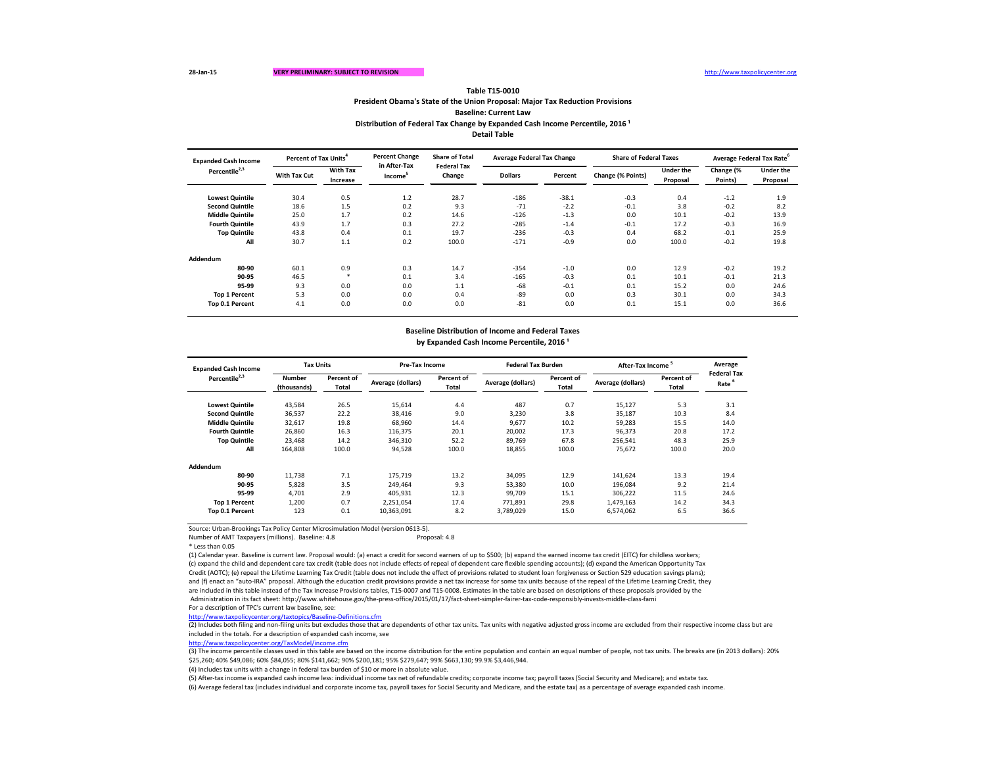Source: Urban-Brookings Tax Policy Center Microsimulation Model (version 0613-5).

Number of AMT Taxpayers (millions). Baseline: 4.8 Proposal: 4.8

\* Less than 0.05

(3) The income percentile classes used in this table are based on the income distribution for the entire population and contain an equal number of people, not tax units. The breaks are (in 2013 dollars): 20% \$25,260; 40% \$49,086; 60% \$84,055; 80% \$141,662; 90% \$200,181; 95% \$279,647; 99% \$663,130; 99.9% \$3,446,944.

(1) Calendar year. Baseline is current law. Proposal would: (a) enact a credit for second earners of up to \$500; (b) expand the earned income tax credit (EITC) for childless workers; (c) expand the child and dependent care tax credit (table does not include effects of repeal of dependent care flexible spending accounts); (d) expand the American Opportunity Tax Credit (AOTC); (e) repeal the Lifetime Learning Tax Credit (table does not include the effect of provisions related to student loan forgiveness or Section 529 education savings plans); and (f) enact an "auto-IRA" proposal. Although the education credit provisions provide a net tax increase for some tax units because of the repeal of the Lifetime Learning Credit, they are included in this table instead of the Tax Increase Provisions tables, T15-0007 and T15-0008. Estimates in the table are based on descriptions of these proposals provided by the Administration in its fact sheet: http://www.whitehouse.gov/the-press-office/2015/01/17/fact-sheet-simpler-fairer-tax-code-responsibly-invests-middle-class-fami For a description of TPC's current law baseline, see:

**President Obama's State of the Union Proposal: Major Tax Reduction Provisions Baseline: Current Law Table T15-0010**

**Distribution of Federal Tax Change by Expanded Cash Income Percentile, 2016<sup>1</sup> Detail Table**

**Lowest Quintile** 30.4 0.5 1.2 28.7 -186 -38.1 -0.3 0.4 -1.2 1.9 **Second Quintile** 18.6 1.5 0.2 9.3 -71 -2.2 -0.1 3.8 -0.2 8.2 **Middle Quintile** 25.0 1.7 0.2 14.6 -126 -1.3 0.0 10.1 -0.2 13.9 **Fourth Quintile** 43.9 1.7 0.3 27.2 -285 -1.4 -0.1 17.2 -0.3 16.9 **Top Quintile** 43.8 0.4 0.1 19.7 -236 -0.3 0.4 68.2 -0.1 25.9 **All** 30.7 1.1 0.2 100.0 -171 -0.9 0.0 100.0 -0.2 19.8 **Addendum 80-90** 60.1 0.9 0.3 14.7 -354 -1.0 0.0 12.9 -0.2 -0.2 19.2 **90-95** 46.5 \* 0.1 3.4 -165 -0.3 0.1 10.1 -0.1 21.3 **95-99** 9.3 0.0 0.0 1.1 -68 -0.1 0.1 15.2 0.0 24.6 **Top 1 Percent** 5.3 0.0 0.0 0.4 -89 0.0 0.3 30.1 0.0 34.3 **Top 0.1 Percent** 4.1 0.0 0.0 0.0 -81 0.0 0.1 15.1 0.0 36.6 **With Tax Increase Dollars Percent Change (% P With Tax Cut Share Expanded Cash Income Percentile2,3 Percent of Tax Units<sup>4</sup> Percent Change in After-Tax Income<sup>5</sup> Share of Total Federal Tax Change Average Federal Tax Change**

| <b>Expanded Cash Income</b> | <b>Tax Units</b>             |                            |                   | Pre-Tax Income      |                   | <b>Federal Tax Burden</b> |                   | After-Tax Income <sup>5</sup> |                                         |  |
|-----------------------------|------------------------------|----------------------------|-------------------|---------------------|-------------------|---------------------------|-------------------|-------------------------------|-----------------------------------------|--|
| Percentile <sup>2,3</sup>   | <b>Number</b><br>(thousands) | Percent of<br><b>Total</b> | Average (dollars) | Percent of<br>Total | Average (dollars) | Percent of<br>Total       | Average (dollars) | Percent of<br>Total           | <b>Federal Tax</b><br>Rate <sup>6</sup> |  |
| <b>Lowest Quintile</b>      | 43,584                       | 26.5                       | 15,614            | 4.4                 | 487               | 0.7                       | 15,127            | 5.3                           | 3.1                                     |  |
| <b>Second Quintile</b>      | 36,537                       | 22.2                       | 38,416            | 9.0                 | 3,230             | 3.8                       | 35,187            | 10.3                          | 8.4                                     |  |
| <b>Middle Quintile</b>      | 32,617                       | 19.8                       | 68,960            | 14.4                | 9,677             | 10.2                      | 59,283            | 15.5                          | 14.0                                    |  |
| <b>Fourth Quintile</b>      | 26,860                       | 16.3                       | 116,375           | 20.1                | 20,002            | 17.3                      | 96,373            | 20.8                          | 17.2                                    |  |
| <b>Top Quintile</b>         | 23,468                       | 14.2                       | 346,310           | 52.2                | 89,769            | 67.8                      | 256,541           | 48.3                          | 25.9                                    |  |
| All                         | 164,808                      | 100.0                      | 94,528            | 100.0               | 18,855            | 100.0                     | 75,672            | 100.0                         | 20.0                                    |  |
| Addendum                    |                              |                            |                   |                     |                   |                           |                   |                               |                                         |  |
| 80-90                       | 11,738                       | 7.1                        | 175,719           | 13.2                | 34,095            | 12.9                      | 141,624           | 13.3                          | 19.4                                    |  |
| 90-95                       | 5,828                        | 3.5                        | 249,464           | 9.3                 | 53,380            | 10.0                      | 196,084           | 9.2                           | 21.4                                    |  |
| 95-99                       | 4,701                        | 2.9                        | 405,931           | 12.3                | 99,709            | 15.1                      | 306,222           | 11.5                          | 24.6                                    |  |
| <b>Top 1 Percent</b>        | 1,200                        | 0.7                        | 2,251,054         | 17.4                | 771,891           | 29.8                      | 1,479,163         | 14.2                          | 34.3                                    |  |
| Top 0.1 Percent             | 123                          | 0.1                        | 10,363,091        | 8.2                 | 3,789,029         | 15.0                      | 6,574,062         | 6.5                           | 36.6                                    |  |

<http://www.taxpolicycenter.org/taxtopics/Baseline-Definitions.cfm>

(2) Includes both filing and non-filing units but excludes those that are dependents of other tax units. Tax units with negative adjusted gross income are excluded from their respective income class but are included in the totals. For a description of expanded cash income, see

<http://www.taxpolicycenter.org/TaxModel/income.cfm>

(6) Average federal tax (includes individual and corporate income tax, payroll taxes for Social Security and Medicare, and the estate tax) as a percentage of average expanded cash income. (5) After-tax income is expanded cash income less: individual income tax net of refundable credits; corporate income tax; payroll taxes (Social Security and Medicare); and estate tax.

(4) Includes tax units with a change in federal tax burden of \$10 or more in absolute value.

| <b>of Federal Taxes</b> |                  |           | Average Federal Tax Rate <sup>6</sup> |
|-------------------------|------------------|-----------|---------------------------------------|
| Points)                 | <b>Under the</b> | Change (% | <b>Under the</b>                      |
|                         | <b>Proposal</b>  | Points)   | <b>Proposal</b>                       |
|                         |                  |           |                                       |
| 0.3                     | 0.4              | $-1.2$    | 1.9                                   |
| 0.1                     | 3.8              | $-0.2$    | 8.2                                   |
| 0.0                     | 10.1             | $-0.2$    | 13.9                                  |
| 0.1                     | 17.2             | $-0.3$    | 16.9                                  |
| 0.4                     | 68.2             | $-0.1$    | 25.9                                  |
| 0.0                     | 100.0            | $-0.2$    | 19.8                                  |
|                         |                  |           |                                       |
|                         |                  |           |                                       |
| 0.0                     | 12.9             | $-0.2$    | 19.2                                  |
| 0.1                     | 10.1             | $-0.1$    | 21.3                                  |
| 0.1                     | 15.2             | 0.0       | 24.6                                  |
| 0.3                     | 30.1             | 0.0       | 34.3                                  |
| 0.1                     | 15.1             | 0.0       | 36.6                                  |
|                         |                  |           |                                       |

# **Baseline Distribution of Income and Federal Taxes**

by Expanded Cash Income Percentile, 2016<sup>1</sup>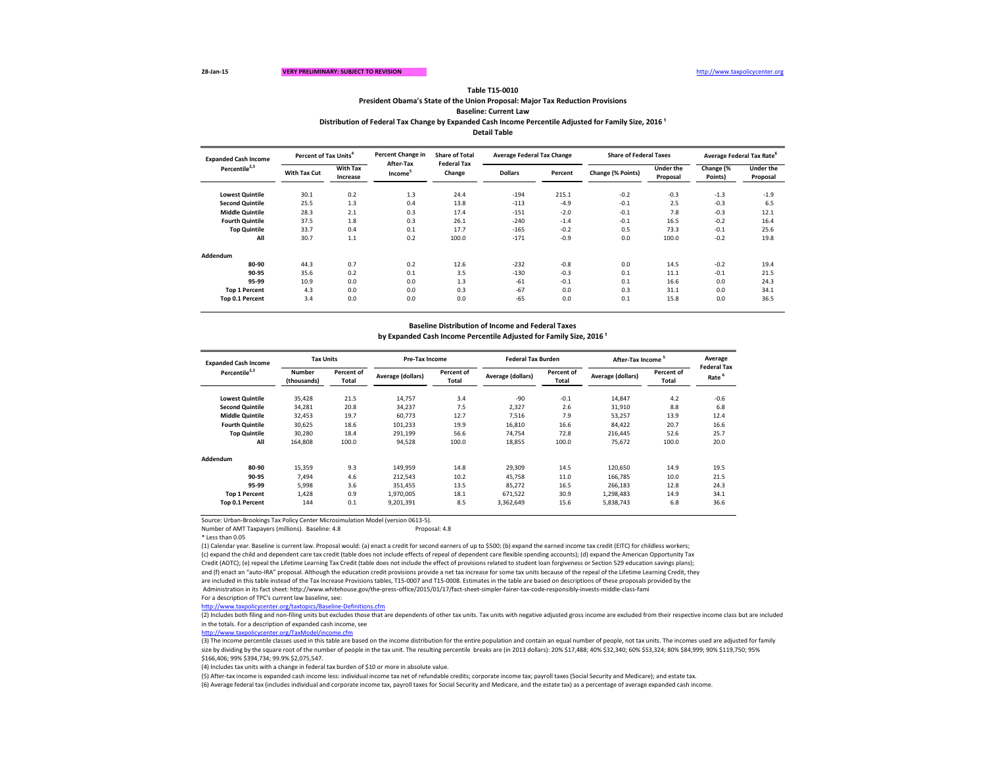**Baseline: Current Law**

Distribution of Federal Tax Change by Expanded Cash Income Percentile Adjusted for Family Size, 2016<sup>1</sup>

Source: Urban-Brookings Tax Policy Center Microsimulation Model (version 0613-5).

Number of AMT Taxpayers (millions). Baseline: 4.8 Proposal: 4.8

\* Less than 0.05

(1) Calendar year. Baseline is current law. Proposal would: (a) enact a credit for second earners of up to \$500; (b) expand the earned income tax credit (EITC) for childless workers; (c) expand the child and dependent care tax credit (table does not include effects of repeal of dependent care flexible spending accounts); (d) expand the American Opportunity Tax Credit (AOTC); (e) repeal the Lifetime Learning Tax Credit (table does not include the effect of provisions related to student loan forgiveness or Section 529 education savings plans); and (f) enact an "auto-IRA" proposal. Although the education credit provisions provide a net tax increase for some tax units because of the repeal of the Lifetime Learning Credit, they are included in this table instead of the Tax Increase Provisions tables, T15-0007 and T15-0008. Estimates in the table are based on descriptions of these proposals provided by the Administration in its fact sheet: http://www.whitehouse.gov/the-press-office/2015/01/17/fact-sheet-simpler-fairer-tax-code-responsibly-invests-middle-class-fami For a description of TPC's current law baseline, see:

| <b>Expanded Cash Income</b> | Percent of Tax Units <sup>4</sup> |                             | Percent Change in                | <b>Share of Total</b>        | <b>Average Federal Tax Change</b> |         | <b>Share of Federal Taxes</b> |                       | Average Federal Tax Rate <sup>b</sup> |                              |
|-----------------------------|-----------------------------------|-----------------------------|----------------------------------|------------------------------|-----------------------------------|---------|-------------------------------|-----------------------|---------------------------------------|------------------------------|
| Percentile <sup>2,3</sup>   | <b>With Tax Cut</b>               | <b>With Tax</b><br>Increase | After-Tax<br>Income <sup>5</sup> | <b>Federal Tax</b><br>Change | <b>Dollars</b>                    | Percent | Change (% Points)             | Under the<br>Proposal | Change (%<br>Points)                  | <b>Under the</b><br>Proposal |
| <b>Lowest Quintile</b>      | 30.1                              | 0.2                         | 1.3                              | 24.4                         | $-194$                            | 215.1   | $-0.2$                        | $-0.3$                | $-1.3$                                | $-1.9$                       |
| <b>Second Quintile</b>      | 25.5                              | 1.3                         | 0.4                              | 13.8                         | $-113$                            | $-4.9$  | $-0.1$                        | 2.5                   | $-0.3$                                | 6.5                          |
| <b>Middle Quintile</b>      | 28.3                              | 2.1                         | 0.3                              | 17.4                         | $-151$                            | $-2.0$  | $-0.1$                        | 7.8                   | $-0.3$                                | 12.1                         |
| <b>Fourth Quintile</b>      | 37.5                              | 1.8                         | 0.3                              | 26.1                         | $-240$                            | $-1.4$  | $-0.1$                        | 16.5                  | $-0.2$                                | 16.4                         |
| <b>Top Quintile</b>         | 33.7                              | 0.4                         | 0.1                              | 17.7                         | $-165$                            | $-0.2$  | 0.5                           | 73.3                  | $-0.1$                                | 25.6                         |
| All                         | 30.7                              | 1.1                         | 0.2                              | 100.0                        | $-171$                            | $-0.9$  | 0.0                           | 100.0                 | $-0.2$                                | 19.8                         |
| Addendum                    |                                   |                             |                                  |                              |                                   |         |                               |                       |                                       |                              |
| 80-90                       | 44.3                              | 0.7                         | 0.2                              | 12.6                         | $-232$                            | $-0.8$  | 0.0                           | 14.5                  | $-0.2$                                | 19.4                         |
| 90-95                       | 35.6                              | 0.2                         | 0.1                              | 3.5                          | $-130$                            | $-0.3$  | 0.1                           | 11.1                  | $-0.1$                                | 21.5                         |
| 95-99                       | 10.9                              | 0.0                         | 0.0                              | 1.3                          | -61                               | $-0.1$  | 0.1                           | 16.6                  | 0.0                                   | 24.3                         |
| <b>Top 1 Percent</b>        | 4.3                               | 0.0                         | 0.0                              | 0.3                          | $-67$                             | 0.0     | 0.3                           | 31.1                  | 0.0                                   | 34.1                         |
| Top 0.1 Percent             | 3.4                               | 0.0                         | 0.0                              | 0.0                          | $-65$                             | 0.0     | 0.1                           | 15.8                  | 0.0                                   | 36.5                         |

| <b>Expanded Cash Income</b> | <b>Tax Units</b>             |                            |                   | Pre-Tax Income             |                   | <b>Federal Tax Burden</b>  | After-Tax Income  |                            | Average                                 |
|-----------------------------|------------------------------|----------------------------|-------------------|----------------------------|-------------------|----------------------------|-------------------|----------------------------|-----------------------------------------|
| Percentile <sup>2,3</sup>   | <b>Number</b><br>(thousands) | Percent of<br><b>Total</b> | Average (dollars) | Percent of<br><b>Total</b> | Average (dollars) | Percent of<br><b>Total</b> | Average (dollars) | Percent of<br><b>Total</b> | <b>Federal Tax</b><br>Rate <sup>6</sup> |
| <b>Lowest Quintile</b>      | 35,428                       | 21.5                       | 14,757            | 3.4                        | $-90$             | $-0.1$                     | 14,847            | 4.2                        | $-0.6$                                  |
| <b>Second Quintile</b>      | 34,281                       | 20.8                       | 34,237            | 7.5                        | 2,327             | 2.6                        | 31,910            | 8.8                        | 6.8                                     |
| <b>Middle Quintile</b>      | 32,453                       | 19.7                       | 60,773            | 12.7                       | 7,516             | 7.9                        | 53,257            | 13.9                       | 12.4                                    |
| <b>Fourth Quintile</b>      | 30,625                       | 18.6                       | 101,233           | 19.9                       | 16,810            | 16.6                       | 84,422            | 20.7                       | 16.6                                    |
| <b>Top Quintile</b>         | 30,280                       | 18.4                       | 291,199           | 56.6                       | 74,754            | 72.8                       | 216,445           | 52.6                       | 25.7                                    |
| All                         | 164,808                      | 100.0                      | 94,528            | 100.0                      | 18,855            | 100.0                      | 75,672            | 100.0                      | 20.0                                    |
| Addendum                    |                              |                            |                   |                            |                   |                            |                   |                            |                                         |
| 80-90                       | 15,359                       | 9.3                        | 149,959           | 14.8                       | 29,309            | 14.5                       | 120,650           | 14.9                       | 19.5                                    |
| 90-95                       | 7,494                        | 4.6                        | 212,543           | 10.2                       | 45,758            | 11.0                       | 166,785           | 10.0                       | 21.5                                    |
| 95-99                       | 5,998                        | 3.6                        | 351,455           | 13.5                       | 85,272            | 16.5                       | 266,183           | 12.8                       | 24.3                                    |
| <b>Top 1 Percent</b>        | 1,428                        | 0.9                        | 1,970,005         | 18.1                       | 671,522           | 30.9                       | 1,298,483         | 14.9                       | 34.1                                    |
| Top 0.1 Percent             | 144                          | 0.1                        | 9,201,391         | 8.5                        | 3,362,649         | 15.6                       | 5,838,743         | 6.8                        | 36.6                                    |

<http://www.taxpolicycenter.org/taxtopics/Baseline-Definitions.cfm>

(2) Includes both filing and non-filing units but excludes those that are dependents of other tax units. Tax units with negative adjusted gross income are excluded from their respective income class but are included in the totals. For a description of expanded cash income, see

<http://www.taxpolicycenter.org/TaxModel/income.cfm>

(6) Average federal tax (includes individual and corporate income tax, payroll taxes for Social Security and Medicare, and the estate tax) as a percentage of average expanded cash income. (5) After-tax income is expanded cash income less: individual income tax net of refundable credits; corporate income tax; payroll taxes (Social Security and Medicare); and estate tax.

(3) The income percentile classes used in this table are based on the income distribution for the entire population and contain an equal number of people, not tax units. The incomes used are adjusted for family size by dividing by the square root of the number of people in the tax unit. The resulting percentile breaks are (in 2013 dollars): 20% \$17,488; 40% \$12,340; 60% \$53,324; 80% \$84,999; 90% \$119,750; 95% \$166,406; 99% \$394,734; 99.9% \$2,075,547.

(4) Includes tax units with a change in federal tax burden of \$10 or more in absolute value.

### **Baseline Distribution of Income and Federal Taxes**

by Expanded Cash Income Percentile Adjusted for Family Size, 2016<sup>1</sup>

## **Table T15-0010**

**Detail Table**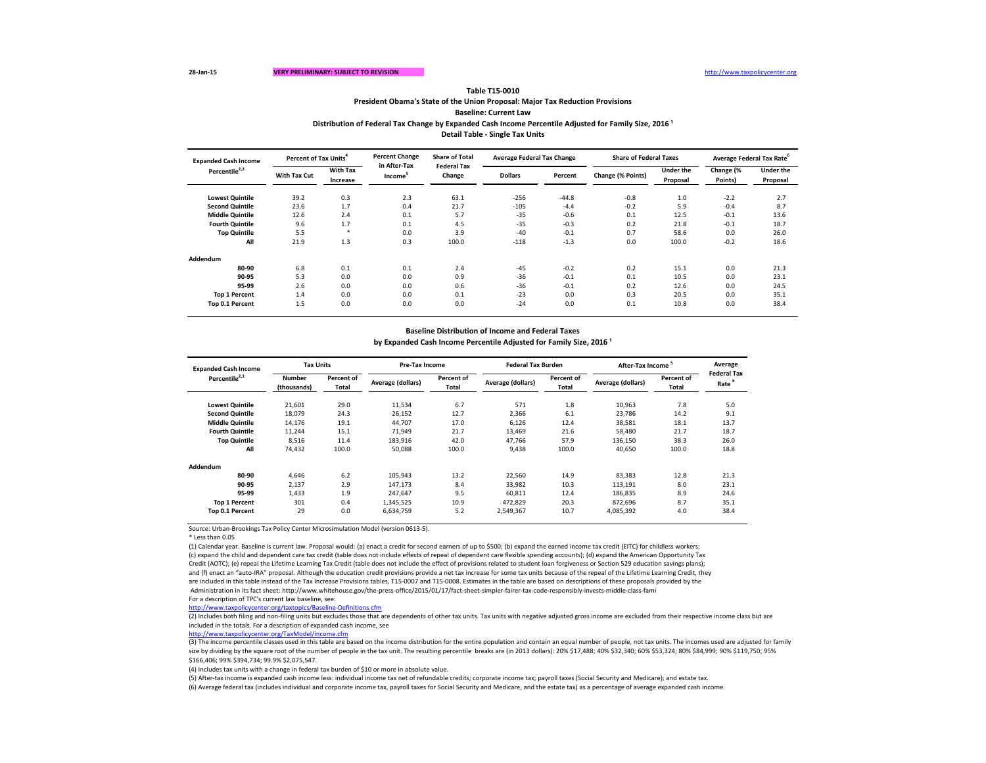**Baseline: Current Law**

Distribution of Federal Tax Change by Expanded Cash Income Percentile Adjusted for Family Size, 2016<sup>1</sup>

Source: Urban-Brookings Tax Policy Center Microsimulation Model (version 0613-5).

\* Less than 0.05

(2) Includes both filing and non-filing units but excludes those that are dependents of other tax units. Tax units with negative adjusted gross income are excluded from their respective income class but are included in the totals. For a description of expanded cash income, see

(1) Calendar year. Baseline is current law. Proposal would: (a) enact a credit for second earners of up to \$500; (b) expand the earned income tax credit (EITC) for childless workers; (c) expand the child and dependent care tax credit (table does not include effects of repeal of dependent care flexible spending accounts); (d) expand the American Opportunity Tax Credit (AOTC); (e) repeal the Lifetime Learning Tax Credit (table does not include the effect of provisions related to student loan forgiveness or Section 529 education savings plans); and (f) enact an "auto-IRA" proposal. Although the education credit provisions provide a net tax increase for some tax units because of the repeal of the Lifetime Learning Credit, they are included in this table instead of the Tax Increase Provisions tables, T15-0007 and T15-0008. Estimates in the table are based on descriptions of these proposals provided by the Administration in its fact sheet: http://www.whitehouse.gov/the-press-office/2015/01/17/fact-sheet-simpler-fairer-tax-code-responsibly-invests-middle-class-fami For a description of TPC's current law baseline, see:

| <b>Expanded Cash Income</b> | Percent of Tax Units <sup>4</sup> |                             | <b>Percent Change</b><br><b>Share of Total</b><br><b>Average Federal Tax Change</b> |                              |                | <b>Share of Federal Taxes</b> |                   | Average Federal Tax Rate <sup>6</sup> |                      |                              |
|-----------------------------|-----------------------------------|-----------------------------|-------------------------------------------------------------------------------------|------------------------------|----------------|-------------------------------|-------------------|---------------------------------------|----------------------|------------------------------|
| Percentile <sup>2,3</sup>   | <b>With Tax Cut</b>               | <b>With Tax</b><br>Increase | in After-Tax<br>Income <sup>3</sup>                                                 | <b>Federal Tax</b><br>Change | <b>Dollars</b> | Percent                       | Change (% Points) | Under the<br>Proposal                 | Change (%<br>Points) | <b>Under the</b><br>Proposal |
| <b>Lowest Quintile</b>      | 39.2                              | 0.3                         | 2.3                                                                                 | 63.1                         | $-256$         | -44.8                         | $-0.8$            | 1.0                                   | $-2.2$               | 2.7                          |
| <b>Second Quintile</b>      | 23.6                              | 1.7                         | 0.4                                                                                 | 21.7                         | $-105$         | $-4.4$                        | $-0.2$            | 5.9                                   | $-0.4$               | 8.7                          |
| <b>Middle Quintile</b>      | 12.6                              | 2.4                         | 0.1                                                                                 | 5.7                          | $-35$          | $-0.6$                        | 0.1               | 12.5                                  | $-0.1$               | 13.6                         |
| <b>Fourth Quintile</b>      | 9.6                               | 1.7                         | 0.1                                                                                 | 4.5                          | $-35$          | $-0.3$                        | 0.2               | 21.8                                  | $-0.1$               | 18.7                         |
| <b>Top Quintile</b>         | 5.5                               | $\ast$                      | 0.0                                                                                 | 3.9                          | $-40$          | $-0.1$                        | 0.7               | 58.6                                  | 0.0                  | 26.0                         |
| All                         | 21.9                              | 1.3                         | 0.3                                                                                 | 100.0                        | $-118$         | $-1.3$                        | 0.0               | 100.0                                 | $-0.2$               | 18.6                         |
| Addendum                    |                                   |                             |                                                                                     |                              |                |                               |                   |                                       |                      |                              |
| 80-90                       | 6.8                               | 0.1                         | 0.1                                                                                 | 2.4                          | $-45$          | $-0.2$                        | 0.2               | 15.1                                  | 0.0                  | 21.3                         |
| 90-95                       | 5.3                               | 0.0                         | 0.0                                                                                 | 0.9                          | $-36$          | $-0.1$                        | 0.1               | 10.5                                  | 0.0                  | 23.1                         |
| 95-99                       | 2.6                               | 0.0                         | 0.0                                                                                 | 0.6                          | $-36$          | $-0.1$                        | 0.2               | 12.6                                  | 0.0                  | 24.5                         |
| <b>Top 1 Percent</b>        | 1.4                               | 0.0                         | 0.0                                                                                 | 0.1                          | $-23$          | 0.0                           | 0.3               | 20.5                                  | 0.0                  | 35.1                         |
| Top 0.1 Percent             | 1.5                               | 0.0                         | 0.0                                                                                 | 0.0                          | $-24$          | 0.0                           | 0.1               | 10.8                                  | 0.0                  | 38.4                         |

| <b>Expanded Cash Income</b> | <b>Tax Units</b>             |                            | <b>Pre-Tax Income</b> |                     | <b>Federal Tax Burden</b> |                            | After-Tax Income <sup>5</sup> | Average                    |                                         |
|-----------------------------|------------------------------|----------------------------|-----------------------|---------------------|---------------------------|----------------------------|-------------------------------|----------------------------|-----------------------------------------|
| Percentile <sup>2,3</sup>   | <b>Number</b><br>(thousands) | Percent of<br><b>Total</b> | Average (dollars)     | Percent of<br>Total | Average (dollars)         | Percent of<br><b>Total</b> | Average (dollars)             | Percent of<br><b>Total</b> | <b>Federal Tax</b><br>Rate <sup>6</sup> |
| <b>Lowest Quintile</b>      | 21,601                       | 29.0                       | 11,534                | 6.7                 | 571                       | 1.8                        | 10,963                        | 7.8                        | 5.0                                     |
| <b>Second Quintile</b>      | 18,079                       | 24.3                       | 26,152                | 12.7                | 2,366                     | 6.1                        | 23,786                        | 14.2                       | 9.1                                     |
| <b>Middle Quintile</b>      | 14,176                       | 19.1                       | 44,707                | 17.0                | 6,126                     | 12.4                       | 38,581                        | 18.1                       | 13.7                                    |
| <b>Fourth Quintile</b>      | 11,244                       | 15.1                       | 71,949                | 21.7                | 13,469                    | 21.6                       | 58,480                        | 21.7                       | 18.7                                    |
| <b>Top Quintile</b>         | 8,516                        | 11.4                       | 183,916               | 42.0                | 47,766                    | 57.9                       | 136,150                       | 38.3                       | 26.0                                    |
| All                         | 74,432                       | 100.0                      | 50,088                | 100.0               | 9,438                     | 100.0                      | 40,650                        | 100.0                      | 18.8                                    |
| Addendum                    |                              |                            |                       |                     |                           |                            |                               |                            |                                         |
| 80-90                       | 4,646                        | 6.2                        | 105,943               | 13.2                | 22,560                    | 14.9                       | 83,383                        | 12.8                       | 21.3                                    |
| 90-95                       | 2,137                        | 2.9                        | 147,173               | 8.4                 | 33,982                    | 10.3                       | 113,191                       | 8.0                        | 23.1                                    |
| 95-99                       | 1,433                        | 1.9                        | 247,647               | 9.5                 | 60,811                    | 12.4                       | 186,835                       | 8.9                        | 24.6                                    |
| <b>Top 1 Percent</b>        | 301                          | 0.4                        | 1,345,525             | 10.9                | 472,829                   | 20.3                       | 872,696                       | 8.7                        | 35.1                                    |
| Top 0.1 Percent             | 29                           | 0.0                        | 6,634,759             | 5.2                 | 2,549,367                 | 10.7                       | 4,085,392                     | 4.0                        | 38.4                                    |

<http://www.taxpolicycenter.org/taxtopics/Baseline-Definitions.cfm>

(3) The income percentile classes used in this table are based on the income distribution for the entire population and contain an equal number of people, not tax units. The incomes used are adjusted for family size by dividing by the square root of the number of people in the tax unit. The resulting percentile breaks are (in 2013 dollars): 20% \$17,488; 40% \$32,340; 60% \$53,324; 80% \$84,999; 90% \$119,750; 95% \$166,406; 99% \$394,734; 99.9% \$2,075,547.

(4) Includes tax units with a change in federal tax burden of \$10 or more in absolute value.

(5) After-tax income is expanded cash income less: individual income tax net of refundable credits; corporate income tax; payroll taxes (Social Security and Medicare); and estate tax. (6) Average federal tax (includes individual and corporate income tax, payroll taxes for Social Security and Medicare, and the estate tax) as a percentage of average expanded cash income.

<http://www.taxpolicycenter.org/TaxModel/income.cfm>

## **Baseline Distribution of Income and Federal Taxes**

by Expanded Cash Income Percentile Adjusted for Family Size, 2016<sup>1</sup>

**Table T15-0010**

**Detail Table - Single Tax Units**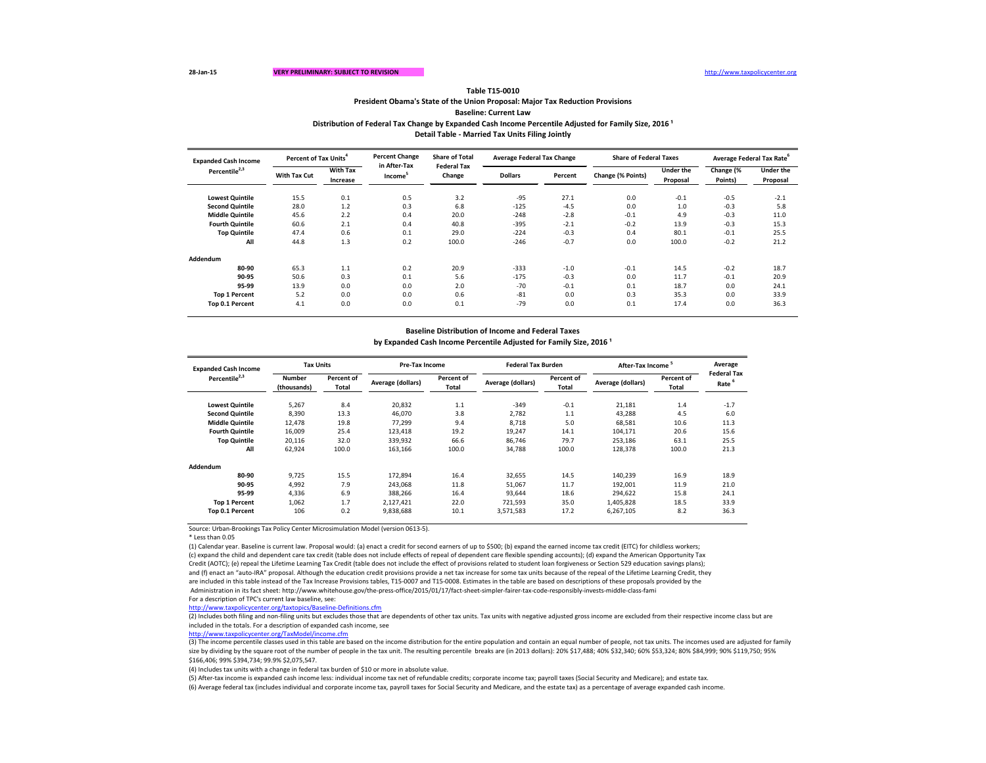**Baseline: Current Law**

**Distribution of Federal Tax Change by Expanded Cash Income Percentile Adjusted for Family Size, 2016<sup>1</sup>** 

Source: Urban-Brookings Tax Policy Center Microsimulation Model (version 0613-5).

\* Less than 0.05

(2) Includes both filing and non-filing units but excludes those that are dependents of other tax units. Tax units with negative adjusted gross income are excluded from their respective income class but are included in the totals. For a description of expanded cash income, see

(1) Calendar year. Baseline is current law. Proposal would: (a) enact a credit for second earners of up to \$500; (b) expand the earned income tax credit (EITC) for childless workers; (c) expand the child and dependent care tax credit (table does not include effects of repeal of dependent care flexible spending accounts); (d) expand the American Opportunity Tax Credit (AOTC); (e) repeal the Lifetime Learning Tax Credit (table does not include the effect of provisions related to student loan forgiveness or Section 529 education savings plans); and (f) enact an "auto-IRA" proposal. Although the education credit provisions provide a net tax increase for some tax units because of the repeal of the Lifetime Learning Credit, they are included in this table instead of the Tax Increase Provisions tables, T15-0007 and T15-0008. Estimates in the table are based on descriptions of these proposals provided by the Administration in its fact sheet: http://www.whitehouse.gov/the-press-office/2015/01/17/fact-sheet-simpler-fairer-tax-code-responsibly-invests-middle-class-fami For a description of TPC's current law baseline, see:

| <b>Expanded Cash Income</b> | Percent of Tax Units <sup>4</sup> |                             | <b>Percent Change</b>               | <b>Share of Total</b>        | <b>Average Federal Tax Change</b> |         | <b>Share of Federal Taxes</b> |                              | Average Federal Tax Rate <sup>6</sup> |                              |
|-----------------------------|-----------------------------------|-----------------------------|-------------------------------------|------------------------------|-----------------------------------|---------|-------------------------------|------------------------------|---------------------------------------|------------------------------|
| Percentile <sup>2,3</sup>   | <b>With Tax Cut</b>               | <b>With Tax</b><br>Increase | in After-Tax<br>Income <sup>5</sup> | <b>Federal Tax</b><br>Change | <b>Dollars</b>                    | Percent | Change (% Points)             | <b>Under the</b><br>Proposal | Change (%<br>Points)                  | <b>Under the</b><br>Proposal |
| <b>Lowest Quintile</b>      | 15.5                              | 0.1                         | 0.5                                 | 3.2                          | $-95$                             | 27.1    | 0.0                           | $-0.1$                       | $-0.5$                                | $-2.1$                       |
| <b>Second Quintile</b>      | 28.0                              | 1.2                         | 0.3                                 | 6.8                          | $-125$                            | $-4.5$  | 0.0                           | 1.0                          | $-0.3$                                | 5.8                          |
| <b>Middle Quintile</b>      | 45.6                              | 2.2                         | 0.4                                 | 20.0                         | $-248$                            | $-2.8$  | $-0.1$                        | 4.9                          | $-0.3$                                | 11.0                         |
| <b>Fourth Quintile</b>      | 60.6                              | 2.1                         | 0.4                                 | 40.8                         | $-395$                            | $-2.1$  | $-0.2$                        | 13.9                         | $-0.3$                                | 15.3                         |
| <b>Top Quintile</b>         | 47.4                              | 0.6                         | 0.1                                 | 29.0                         | $-224$                            | $-0.3$  | 0.4                           | 80.1                         | $-0.1$                                | 25.5                         |
| All                         | 44.8                              | 1.3                         | 0.2                                 | 100.0                        | $-246$                            | $-0.7$  | 0.0                           | 100.0                        | $-0.2$                                | 21.2                         |
| Addendum                    |                                   |                             |                                     |                              |                                   |         |                               |                              |                                       |                              |
| 80-90                       | 65.3                              | 1.1                         | 0.2                                 | 20.9                         | $-333$                            | $-1.0$  | $-0.1$                        | 14.5                         | $-0.2$                                | 18.7                         |
| 90-95                       | 50.6                              | 0.3                         | 0.1                                 | 5.6                          | $-175$                            | $-0.3$  | 0.0                           | 11.7                         | $-0.1$                                | 20.9                         |
| 95-99                       | 13.9                              | 0.0                         | 0.0                                 | 2.0                          | $-70$                             | $-0.1$  | 0.1                           | 18.7                         | 0.0                                   | 24.1                         |
| <b>Top 1 Percent</b>        | 5.2                               | 0.0                         | 0.0                                 | 0.6                          | $-81$                             | 0.0     | 0.3                           | 35.3                         | 0.0                                   | 33.9                         |
| Top 0.1 Percent             | 4.1                               | 0.0                         | 0.0                                 | 0.1                          | $-79$                             | 0.0     | 0.1                           | 17.4                         | 0.0                                   | 36.3                         |

| <b>Expanded Cash Income</b> | <b>Tax Units</b>      |                            |                   | <b>Pre-Tax Income</b> |                   | <b>Federal Tax Burden</b>  |                   | After-Tax Income <sup>5</sup> |                                         |  |
|-----------------------------|-----------------------|----------------------------|-------------------|-----------------------|-------------------|----------------------------|-------------------|-------------------------------|-----------------------------------------|--|
| Percentile <sup>2,3</sup>   | Number<br>(thousands) | Percent of<br><b>Total</b> | Average (dollars) | Percent of<br>Total   | Average (dollars) | Percent of<br><b>Total</b> | Average (dollars) | Percent of<br><b>Total</b>    | <b>Federal Tax</b><br>Rate <sup>6</sup> |  |
| <b>Lowest Quintile</b>      | 5,267                 | 8.4                        | 20,832            | 1.1                   | $-349$            | $-0.1$                     | 21,181            | 1.4                           | $-1.7$                                  |  |
| <b>Second Quintile</b>      | 8,390                 | 13.3                       | 46,070            | 3.8                   | 2,782             | 1.1                        | 43,288            | 4.5                           | 6.0                                     |  |
| <b>Middle Quintile</b>      | 12,478                | 19.8                       | 77,299            | 9.4                   | 8,718             | 5.0                        | 68,581            | 10.6                          | 11.3                                    |  |
| <b>Fourth Quintile</b>      | 16,009                | 25.4                       | 123,418           | 19.2                  | 19,247            | 14.1                       | 104,171           | 20.6                          | 15.6                                    |  |
| <b>Top Quintile</b>         | 20,116                | 32.0                       | 339,932           | 66.6                  | 86,746            | 79.7                       | 253,186           | 63.1                          | 25.5                                    |  |
| All                         | 62,924                | 100.0                      | 163,166           | 100.0                 | 34,788            | 100.0                      | 128,378           | 100.0                         | 21.3                                    |  |
| <b>Addendum</b>             |                       |                            |                   |                       |                   |                            |                   |                               |                                         |  |
| 80-90                       | 9,725                 | 15.5                       | 172,894           | 16.4                  | 32,655            | 14.5                       | 140,239           | 16.9                          | 18.9                                    |  |
| 90-95                       | 4,992                 | 7.9                        | 243,068           | 11.8                  | 51,067            | 11.7                       | 192,001           | 11.9                          | 21.0                                    |  |
| 95-99                       | 4,336                 | 6.9                        | 388,266           | 16.4                  | 93,644            | 18.6                       | 294,622           | 15.8                          | 24.1                                    |  |
| <b>Top 1 Percent</b>        | 1,062                 | 1.7                        | 2,127,421         | 22.0                  | 721,593           | 35.0                       | 1,405,828         | 18.5                          | 33.9                                    |  |
| Top 0.1 Percent             | 106                   | 0.2                        | 9,838,688         | 10.1                  | 3,571,583         | 17.2                       | 6,267,105         | 8.2                           | 36.3                                    |  |

<http://www.taxpolicycenter.org/taxtopics/Baseline-Definitions.cfm>

(3) The income percentile classes used in this table are based on the income distribution for the entire population and contain an equal number of people, not tax units. The incomes used are adjusted for family size by dividing by the square root of the number of people in the tax unit. The resulting percentile breaks are (in 2013 dollars): 20% \$17,488; 40% \$32,340; 60% \$53,324; 80% \$84,999; 90% \$119,750; 95% \$166,406; 99% \$394,734; 99.9% \$2,075,547.

(4) Includes tax units with a change in federal tax burden of \$10 or more in absolute value.

(5) After-tax income is expanded cash income less: individual income tax net of refundable credits; corporate income tax; payroll taxes (Social Security and Medicare); and estate tax. (6) Average federal tax (includes individual and corporate income tax, payroll taxes for Social Security and Medicare, and the estate tax) as a percentage of average expanded cash income.

<http://www.taxpolicycenter.org/TaxModel/income.cfm>

## **Baseline Distribution of Income and Federal Taxes**

by Expanded Cash Income Percentile Adjusted for Family Size, 2016<sup>1</sup>

### **Table T15-0010**

**Detail Table - Married Tax Units Filing Jointly**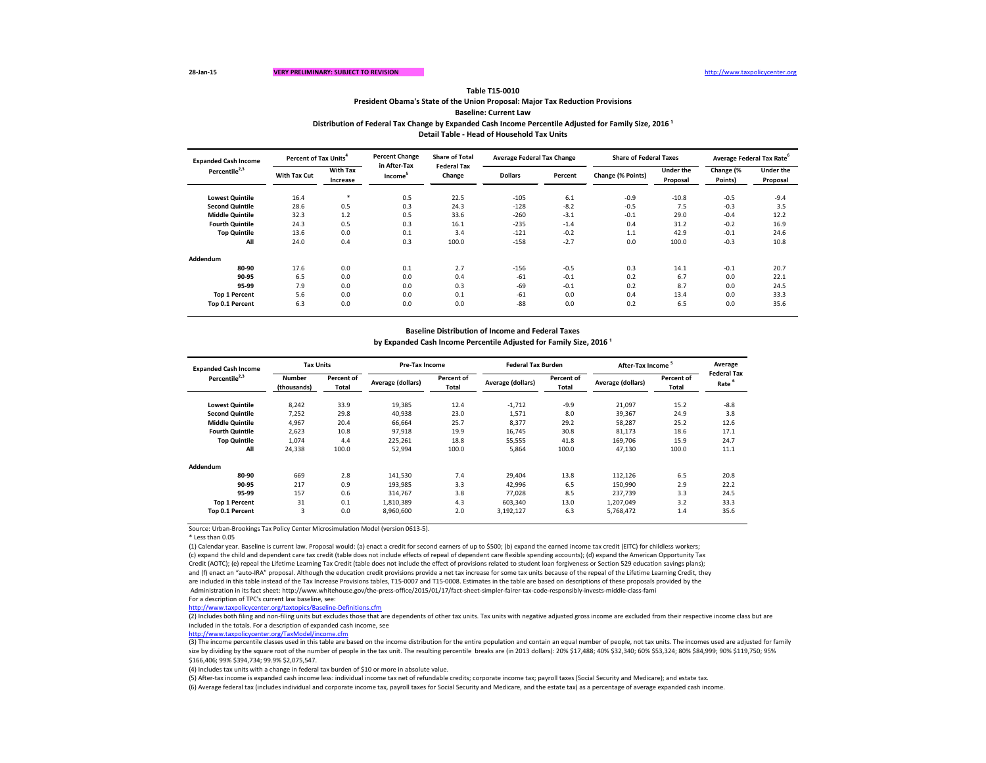**Baseline: Current Law**

Source: Urban-Brookings Tax Policy Center Microsimulation Model (version 0613-5).

\* Less than 0.05

(2) Includes both filing and non-filing units but excludes those that are dependents of other tax units. Tax units with negative adjusted gross income are excluded from their respective income class but are included in the totals. For a description of expanded cash income, see

(1) Calendar year. Baseline is current law. Proposal would: (a) enact a credit for second earners of up to \$500; (b) expand the earned income tax credit (EITC) for childless workers; (c) expand the child and dependent care tax credit (table does not include effects of repeal of dependent care flexible spending accounts); (d) expand the American Opportunity Tax Credit (AOTC); (e) repeal the Lifetime Learning Tax Credit (table does not include the effect of provisions related to student loan forgiveness or Section 529 education savings plans); and (f) enact an "auto-IRA" proposal. Although the education credit provisions provide a net tax increase for some tax units because of the repeal of the Lifetime Learning Credit, they are included in this table instead of the Tax Increase Provisions tables, T15-0007 and T15-0008. Estimates in the table are based on descriptions of these proposals provided by the Administration in its fact sheet: http://www.whitehouse.gov/the-press-office/2015/01/17/fact-sheet-simpler-fairer-tax-code-responsibly-invests-middle-class-fami For a description of TPC's current law baseline, see:

Distribution of Federal Tax Change by Expanded Cash Income Percentile Adjusted for Family Size, 2016<sup>1</sup> **Detail Table - Head of Household Tax Units**

**Lowest Quintile** 16.4 \* 0.5 22.5 -105 6.1 -0.9 -10.8 -0.5 -9.4 **Second Quintile** 28.6 0.5 0.3 24.3 -128 -8.2 -0.5 7.5 -0.3 3.5 **Middle Quintile** 32.3 1.2 0.5 33.6 -260 -3.1 -0.1 29.0 -0.4 12.2 **Fourth Quintile** 24.3 0.5 0.3 16.1 -235 -1.4 0.4 31.2 -0.2 16.9 **Top Quintile** 13.6 0.0 0.1 3.4 -121 -0.2 1.1 42.9 -0.1 24.6 **All** 24.0 0.4 0.3 100.0 -158 -2.7 0.0 100.0 -0.3 10.8 **Addendum 80-90** 17.6 0.0 0.1 2.7 -156 -0.5 0.3 14.1 -0.1 20.7 **90-95** 6.5 0.0 0.0 0.0 0.4 -61 -0.1 0.2 6.7 0.0 22.1 **95-99** 7.9 0.0 0.0 0.3 -69 -0.1 0.2 8.7 0.0 24.5 **Top 1 Percent** 5.6 0.0 0.0 0.1 -61 0.0 0.4 13.4 0.0 33.3 **Top 0.1 Percent** 6.3 0.0 0.0 0.0 -88 0.0 0.2 6.5 0.0 35.6 **With Tax Cut With Tax Increase Dollars Percent Change (% I Expanded Cash Income Percentile2,3 Percent of Tax Units<sup>4</sup> Percent Change in After-Tax Income<sup>5</sup> Share of Total Federal Tax Change Average Federal Tax Change Share of Federal Taxes Average Federal Tax Rate<sup>6</sup>**

| <b>Expanded Cash Income</b> | <b>Tax Units</b>      |                                   |                   | <b>Pre-Tax Income</b> |                          | <b>Federal Tax Burden</b>  | After-Tax Income <sup>5</sup> | Average                    |                                         |
|-----------------------------|-----------------------|-----------------------------------|-------------------|-----------------------|--------------------------|----------------------------|-------------------------------|----------------------------|-----------------------------------------|
| Percentile <sup>2,3</sup>   | Number<br>(thousands) | <b>Percent of</b><br><b>Total</b> | Average (dollars) | Percent of<br>Total   | <b>Average (dollars)</b> | Percent of<br><b>Total</b> | Average (dollars)             | Percent of<br><b>Total</b> | <b>Federal Tax</b><br>Rate <sup>6</sup> |
| <b>Lowest Quintile</b>      | 8,242                 | 33.9                              | 19,385            | 12.4                  | $-1,712$                 | $-9.9$                     | 21,097                        | 15.2                       | $-8.8$                                  |
| <b>Second Quintile</b>      | 7,252                 | 29.8                              | 40,938            | 23.0                  | 1,571                    | 8.0                        | 39,367                        | 24.9                       | 3.8                                     |
| <b>Middle Quintile</b>      | 4,967                 | 20.4                              | 66,664            | 25.7                  | 8,377                    | 29.2                       | 58,287                        | 25.2                       | 12.6                                    |
| <b>Fourth Quintile</b>      | 2,623                 | 10.8                              | 97,918            | 19.9                  | 16,745                   | 30.8                       | 81,173                        | 18.6                       | 17.1                                    |
| <b>Top Quintile</b>         | 1,074                 | 4.4                               | 225,261           | 18.8                  | 55,555                   | 41.8                       | 169,706                       | 15.9                       | 24.7                                    |
| All                         | 24,338                | 100.0                             | 52,994            | 100.0                 | 5,864                    | 100.0                      | 47,130                        | 100.0                      | 11.1                                    |
| Addendum                    |                       |                                   |                   |                       |                          |                            |                               |                            |                                         |
| 80-90                       | 669                   | 2.8                               | 141,530           | 7.4                   | 29,404                   | 13.8                       | 112,126                       | 6.5                        | 20.8                                    |
| 90-95                       | 217                   | 0.9                               | 193,985           | 3.3                   | 42,996                   | 6.5                        | 150,990                       | 2.9                        | 22.2                                    |
| 95-99                       | 157                   | 0.6                               | 314,767           | 3.8                   | 77,028                   | 8.5                        | 237,739                       | 3.3                        | 24.5                                    |
| <b>Top 1 Percent</b>        | 31                    | 0.1                               | 1,810,389         | 4.3                   | 603,340                  | 13.0                       | 1,207,049                     | 3.2                        | 33.3                                    |
| Top 0.1 Percent             | 3                     | 0.0                               | 8,960,600         | 2.0                   | 3,192,127                | 6.3                        | 5,768,472                     | 1.4                        | 35.6                                    |

<http://www.taxpolicycenter.org/taxtopics/Baseline-Definitions.cfm>

(3) The income percentile classes used in this table are based on the income distribution for the entire population and contain an equal number of people, not tax units. The incomes used are adjusted for family size by dividing by the square root of the number of people in the tax unit. The resulting percentile breaks are (in 2013 dollars): 20% \$17,488; 40% \$32,340; 60% \$53,324; 80% \$84,999; 90% \$119,750; 95% \$166,406; 99% \$394,734; 99.9% \$2,075,547.

(4) Includes tax units with a change in federal tax burden of \$10 or more in absolute value.

(5) After-tax income is expanded cash income less: individual income tax net of refundable credits; corporate income tax; payroll taxes (Social Security and Medicare); and estate tax. (6) Average federal tax (includes individual and corporate income tax, payroll taxes for Social Security and Medicare, and the estate tax) as a percentage of average expanded cash income.

| e of Federal Taxes |                  |           | Average Federal Tax Rate <sup>6</sup> |
|--------------------|------------------|-----------|---------------------------------------|
| Points)            | <b>Under the</b> | Change (% | <b>Under the</b>                      |
|                    | <b>Proposal</b>  | Points)   | <b>Proposal</b>                       |
|                    |                  |           |                                       |
| 0.9                | $-10.8$          | $-0.5$    | $-9.4$                                |
| 0.5                | 7.5              | $-0.3$    | 3.5                                   |
| $0.1\,$            | 29.0             | $-0.4$    | 12.2                                  |
| 0.4                | 31.2             | $-0.2$    | 16.9                                  |
| $1.1\,$            | 42.9             | $-0.1$    | 24.6                                  |
| 0.0                | 100.0            | $-0.3$    | 10.8                                  |
|                    |                  |           |                                       |
|                    |                  |           |                                       |
| 0.3                | 14.1             | $-0.1$    | 20.7                                  |
| 0.2                | 6.7              | 0.0       | 22.1                                  |
| 0.2                | 8.7              | 0.0       | 24.5                                  |
| 0.4                | 13.4             | 0.0       | 33.3                                  |
| 0.2                | 6.5              | 0.0       | 35.6                                  |
|                    |                  |           |                                       |

<http://www.taxpolicycenter.org/TaxModel/income.cfm>

## **Baseline Distribution of Income and Federal Taxes**

by Expanded Cash Income Percentile Adjusted for Family Size, 2016<sup>1</sup>

### **Table T15-0010**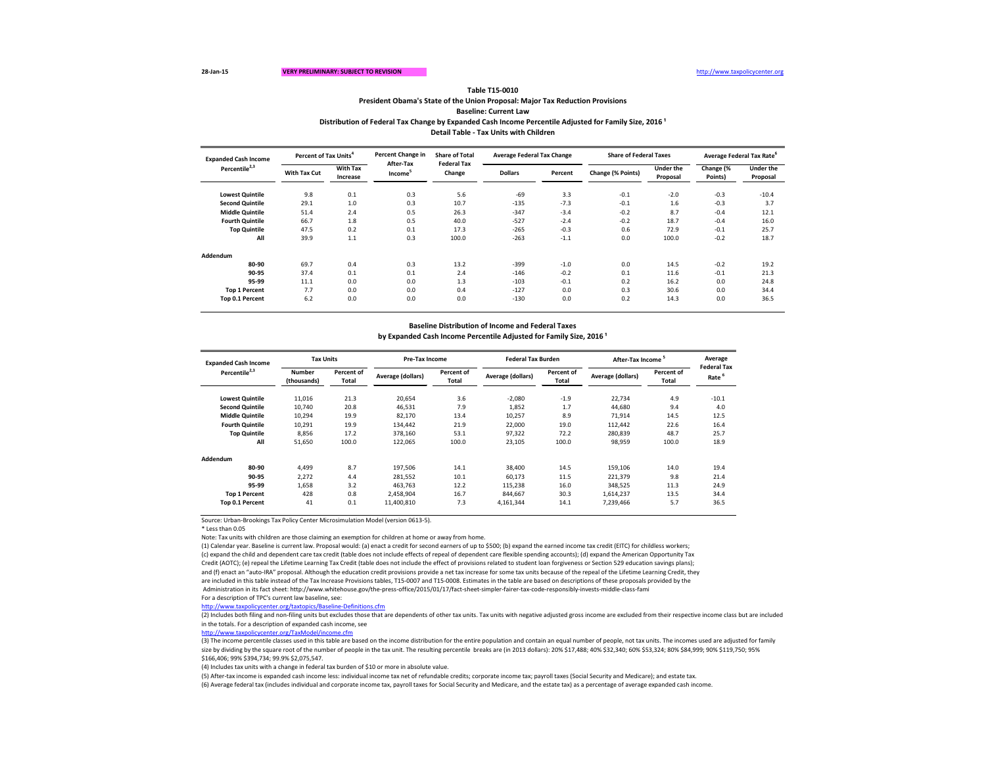**Baseline: Current Law**

Distribution of Federal Tax Change by Expanded Cash Income Percentile Adjusted for Family Size, 2016<sup>1</sup>

Source: Urban-Brookings Tax Policy Center Microsimulation Model (version 0613-5).

\* Less than 0.05

Note: Tax units with children are those claiming an exemption for children at home or away from home.

(1) Calendar year. Baseline is current law. Proposal would: (a) enact a credit for second earners of up to \$500; (b) expand the earned income tax credit (EITC) for childless workers; (c) expand the child and dependent care tax credit (table does not include effects of repeal of dependent care flexible spending accounts); (d) expand the American Opportunity Tax Credit (AOTC); (e) repeal the Lifetime Learning Tax Credit (table does not include the effect of provisions related to student loan forgiveness or Section 529 education savings plans); and (f) enact an "auto-IRA" proposal. Although the education credit provisions provide a net tax increase for some tax units because of the repeal of the Lifetime Learning Credit, they are included in this table instead of the Tax Increase Provisions tables, T15-0007 and T15-0008. Estimates in the table are based on descriptions of these proposals provided by the Administration in its fact sheet: http://www.whitehouse.gov/the-press-office/2015/01/17/fact-sheet-simpler-fairer-tax-code-responsibly-invests-middle-class-fami For a description of TPC's current law baseline, see:

ttp://www.taxpolicycenter.org/taxtopics/Baseline-Definitions.cfm

| <b>Expanded Cash Income</b> |                     | Percent of Tax Units <sup>4</sup> |                                  | <b>Share of Total</b>        | <b>Average Federal Tax Change</b> |         | <b>Share of Federal Taxes</b> |                       | Average Federal Tax Rate <sup>b</sup> |                              |
|-----------------------------|---------------------|-----------------------------------|----------------------------------|------------------------------|-----------------------------------|---------|-------------------------------|-----------------------|---------------------------------------|------------------------------|
| Percentile <sup>2,3</sup>   | <b>With Tax Cut</b> | <b>With Tax</b><br>Increase       | After-Tax<br>Income <sup>5</sup> | <b>Federal Tax</b><br>Change | <b>Dollars</b>                    | Percent | Change (% Points)             | Under the<br>Proposal | Change (%<br>Points)                  | <b>Under the</b><br>Proposal |
| <b>Lowest Quintile</b>      | 9.8                 | 0.1                               | 0.3                              | 5.6                          | -69                               | 3.3     | $-0.1$                        | $-2.0$                | $-0.3$                                | $-10.4$                      |
| <b>Second Quintile</b>      | 29.1                | 1.0                               | 0.3                              | 10.7                         | $-135$                            | $-7.3$  | $-0.1$                        | 1.6                   | $-0.3$                                | 3.7                          |
| <b>Middle Quintile</b>      | 51.4                | 2.4                               | 0.5                              | 26.3                         | $-347$                            | $-3.4$  | $-0.2$                        | 8.7                   | $-0.4$                                | 12.1                         |
| <b>Fourth Quintile</b>      | 66.7                | 1.8                               | 0.5                              | 40.0                         | $-527$                            | $-2.4$  | $-0.2$                        | 18.7                  | $-0.4$                                | 16.0                         |
| <b>Top Quintile</b>         | 47.5                | 0.2                               | 0.1                              | 17.3                         | $-265$                            | $-0.3$  | 0.6                           | 72.9                  | $-0.1$                                | 25.7                         |
| All                         | 39.9                | 1.1                               | 0.3                              | 100.0                        | $-263$                            | $-1.1$  | 0.0                           | 100.0                 | $-0.2$                                | 18.7                         |
| Addendum                    |                     |                                   |                                  |                              |                                   |         |                               |                       |                                       |                              |
| 80-90                       | 69.7                | 0.4                               | 0.3                              | 13.2                         | $-399$                            | $-1.0$  | 0.0                           | 14.5                  | $-0.2$                                | 19.2                         |
| 90-95                       | 37.4                | 0.1                               | 0.1                              | 2.4                          | $-146$                            | $-0.2$  | 0.1                           | 11.6                  | $-0.1$                                | 21.3                         |
| 95-99                       | 11.1                | 0.0                               | 0.0                              | 1.3                          | $-103$                            | $-0.1$  | 0.2                           | 16.2                  | 0.0                                   | 24.8                         |
| <b>Top 1 Percent</b>        | 7.7                 | 0.0                               | 0.0                              | 0.4                          | $-127$                            | 0.0     | 0.3                           | 30.6                  | 0.0                                   | 34.4                         |
| Top 0.1 Percent             | 6.2                 | 0.0                               | 0.0                              | 0.0                          | $-130$                            | 0.0     | 0.2                           | 14.3                  | 0.0                                   | 36.5                         |

| <b>Expanded Cash Income</b><br>Percentile <sup>2,3</sup> | <b>Tax Units</b>             |                            | Pre-Tax Income    |                            | <b>Federal Tax Burden</b> |                            | After-Tax Income <sup>5</sup> |                     | Average                                 |
|----------------------------------------------------------|------------------------------|----------------------------|-------------------|----------------------------|---------------------------|----------------------------|-------------------------------|---------------------|-----------------------------------------|
|                                                          | <b>Number</b><br>(thousands) | Percent of<br><b>Total</b> | Average (dollars) | Percent of<br><b>Total</b> | Average (dollars)         | Percent of<br><b>Total</b> | <b>Average (dollars)</b>      | Percent of<br>Total | <b>Federal Tax</b><br>Rate <sup>b</sup> |
| <b>Lowest Quintile</b>                                   | 11,016                       | 21.3                       | 20,654            | 3.6                        | $-2,080$                  | $-1.9$                     | 22,734                        | 4.9                 | $-10.1$                                 |
| <b>Second Quintile</b>                                   | 10,740                       | 20.8                       | 46,531            | 7.9                        | 1,852                     | 1.7                        | 44,680                        | 9.4                 | 4.0                                     |
| <b>Middle Quintile</b>                                   | 10,294                       | 19.9                       | 82,170            | 13.4                       | 10,257                    | 8.9                        | 71,914                        | 14.5                | 12.5                                    |
| <b>Fourth Quintile</b>                                   | 10,291                       | 19.9                       | 134,442           | 21.9                       | 22,000                    | 19.0                       | 112,442                       | 22.6                | 16.4                                    |
| <b>Top Quintile</b>                                      | 8,856                        | 17.2                       | 378,160           | 53.1                       | 97,322                    | 72.2                       | 280,839                       | 48.7                | 25.7                                    |
| All                                                      | 51,650                       | 100.0                      | 122,065           | 100.0                      | 23,105                    | 100.0                      | 98,959                        | 100.0               | 18.9                                    |
| Addendum                                                 |                              |                            |                   |                            |                           |                            |                               |                     |                                         |
| 80-90                                                    | 4,499                        | 8.7                        | 197,506           | 14.1                       | 38,400                    | 14.5                       | 159,106                       | 14.0                | 19.4                                    |
| 90-95                                                    | 2,272                        | 4.4                        | 281,552           | 10.1                       | 60,173                    | 11.5                       | 221,379                       | 9.8                 | 21.4                                    |
| 95-99                                                    | 1,658                        | 3.2                        | 463,763           | 12.2                       | 115,238                   | 16.0                       | 348,525                       | 11.3                | 24.9                                    |
| <b>Top 1 Percent</b>                                     | 428                          | 0.8                        | 2,458,904         | 16.7                       | 844,667                   | 30.3                       | 1,614,237                     | 13.5                | 34.4                                    |
| Top 0.1 Percent                                          | 41                           | 0.1                        | 11,400,810        | 7.3                        | 4,161,344                 | 14.1                       | 7,239,466                     | 5.7                 | 36.5                                    |

(3) The income percentile classes used in this table are based on the income distribution for the entire population and contain an equal number of people, not tax units. The incomes used are adjusted for family size by dividing by the square root of the number of people in the tax unit. The resulting percentile breaks are (in 2013 dollars): 20% \$17,488; 40% \$12,340; 60% \$53,324; 80% \$84,999; 90% \$119,750; 95% \$166,406; 99% \$394,734; 99.9% \$2,075,547.

(4) Includes tax units with a change in federal tax burden of \$10 or more in absolute value.

(5) After-tax income is expanded cash income less: individual income tax net of refundable credits; corporate income tax; payroll taxes (Social Security and Medicare); and estate tax. (6) Average federal tax (includes individual and corporate income tax, payroll taxes for Social Security and Medicare, and the estate tax) as a percentage of average expanded cash income.

(2) Includes both filing and non-filing units but excludes those that are dependents of other tax units. Tax units with negative adjusted gross income are excluded from their respective income class but are included in the totals. For a description of expanded cash income, see

<http://www.taxpolicycenter.org/TaxModel/income.cfm>

## **Baseline Distribution of Income and Federal Taxes**

by Expanded Cash Income Percentile Adjusted for Family Size, 2016<sup>1</sup>

## **Table T15-0010**

**Detail Table - Tax Units with Children**